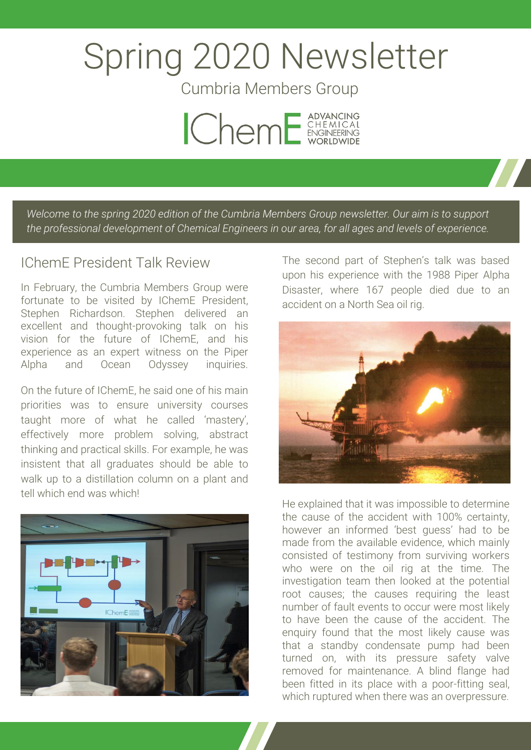# Spring 2020 Newsletter

Cumbria Members Group



*Welcome to the spring 2020 edition of the Cumbria Members Group newsletter. Our aim is to support the professional development of Chemical Engineers in our area, for all ages and levels of experience.*

## IChemE President Talk Review

In February, the Cumbria Members Group were fortunate to be visited by IChemE President, Stephen Richardson. Stephen delivered an excellent and thought-provoking talk on his vision for the future of IChemE, and his experience as an expert witness on the Piper Alpha and Ocean Odyssey inquiries.

On the future of IChemE, he said one of his main priorities was to ensure university courses taught more of what he called 'mastery', effectively more problem solving, abstract thinking and practical skills. For example, he was insistent that all graduates should be able to walk up to a distillation column on a plant and tell which end was which!



The second part of Stephen's talk was based upon his experience with the 1988 Piper Alpha Disaster, where 167 people died due to an accident on a North Sea oil rig.



He explained that it was impossible to determine the cause of the accident with 100% certainty, however an informed 'best guess' had to be made from the available evidence, which mainly consisted of testimony from surviving workers who were on the oil rig at the time. The investigation team then looked at the potential root causes; the causes requiring the least number of fault events to occur were most likely to have been the cause of the accident. The enquiry found that the most likely cause was that a standby condensate pump had been turned on, with its pressure safety valve removed for maintenance. A blind flange had been fitted in its place with a poor-fitting seal, which ruptured when there was an overpressure.